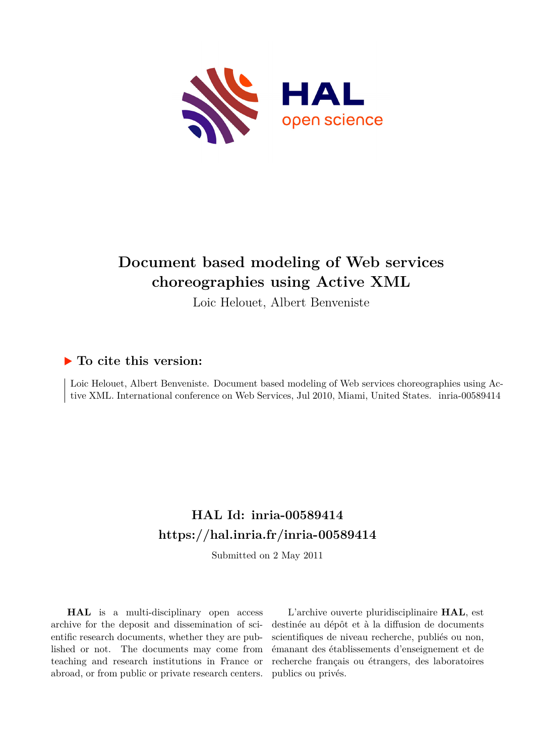

## **Document based modeling of Web services choreographies using Active XML**

Loic Helouet, Albert Benveniste

### **To cite this version:**

Loic Helouet, Albert Benveniste. Document based modeling of Web services choreographies using Active XML. International conference on Web Services, Jul 2010, Miami, United States. inria-00589414

## **HAL Id: inria-00589414 <https://hal.inria.fr/inria-00589414>**

Submitted on 2 May 2011

**HAL** is a multi-disciplinary open access archive for the deposit and dissemination of scientific research documents, whether they are published or not. The documents may come from teaching and research institutions in France or abroad, or from public or private research centers.

L'archive ouverte pluridisciplinaire **HAL**, est destinée au dépôt et à la diffusion de documents scientifiques de niveau recherche, publiés ou non, émanant des établissements d'enseignement et de recherche français ou étrangers, des laboratoires publics ou privés.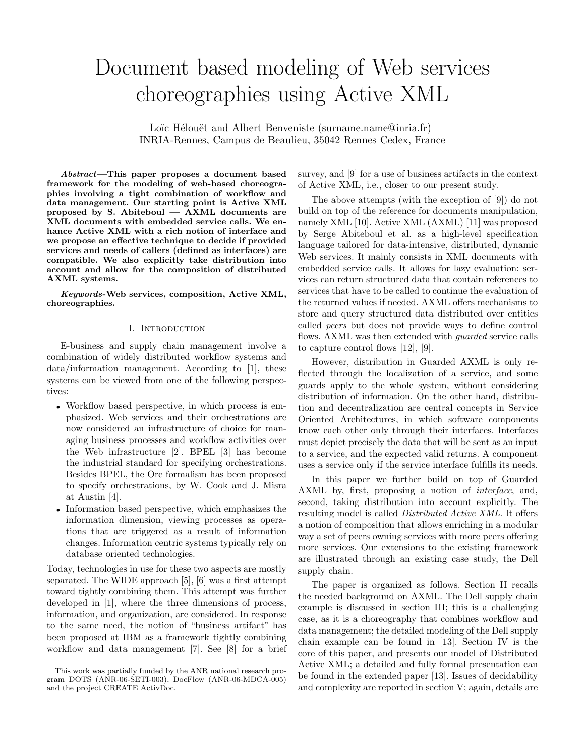# Document based modeling of Web services choreographies using Active XML

Loïc Hélouët and Albert Benveniste (surname.name@inria.fr) INRIA-Rennes, Campus de Beaulieu, 35042 Rennes Cedex, France

Abstract—This paper proposes a document based framework for the modeling of web-based choreographies involving a tight combination of workflow and data management. Our starting point is Active XML proposed by S. Abiteboul — AXML documents are XML documents with embedded service calls. We enhance Active XML with a rich notion of interface and we propose an effective technique to decide if provided services and needs of callers (defined as interfaces) are compatible. We also explicitly take distribution into account and allow for the composition of distributed AXML systems.

Keywords-Web services, composition, Active XML, choreographies.

#### I. Introduction

E-business and supply chain management involve a combination of widely distributed workflow systems and data/information management. According to [1], these systems can be viewed from one of the following perspectives:

- Workflow based perspective, in which process is emphasized. Web services and their orchestrations are now considered an infrastructure of choice for managing business processes and workflow activities over the Web infrastructure [2]. BPEL [3] has become the industrial standard for specifying orchestrations. Besides BPEL, the Orc formalism has been proposed to specify orchestrations, by W. Cook and J. Misra at Austin [4].
- Information based perspective, which emphasizes the information dimension, viewing processes as operations that are triggered as a result of information changes. Information centric systems typically rely on database oriented technologies.

Today, technologies in use for these two aspects are mostly separated. The WIDE approach [5], [6] was a first attempt toward tightly combining them. This attempt was further developed in [1], where the three dimensions of process, information, and organization, are considered. In response to the same need, the notion of "business artifact" has been proposed at IBM as a framework tightly combining workflow and data management [7]. See [8] for a brief survey, and [9] for a use of business artifacts in the context of Active XML, i.e., closer to our present study.

The above attempts (with the exception of [9]) do not build on top of the reference for documents manipulation, namely XML [10]. Active XML (AXML) [11] was proposed by Serge Abiteboul et al. as a high-level specification language tailored for data-intensive, distributed, dynamic Web services. It mainly consists in XML documents with embedded service calls. It allows for lazy evaluation: services can return structured data that contain references to services that have to be called to continue the evaluation of the returned values if needed. AXML offers mechanisms to store and query structured data distributed over entities called peers but does not provide ways to define control flows. AXML was then extended with *guarded* service calls to capture control flows [12], [9].

However, distribution in Guarded AXML is only reflected through the localization of a service, and some guards apply to the whole system, without considering distribution of information. On the other hand, distribution and decentralization are central concepts in Service Oriented Architectures, in which software components know each other only through their interfaces. Interfaces must depict precisely the data that will be sent as an input to a service, and the expected valid returns. A component uses a service only if the service interface fulfills its needs.

In this paper we further build on top of Guarded AXML by, first, proposing a notion of interface, and, second, taking distribution into account explicitly. The resulting model is called Distributed Active XML. It offers a notion of composition that allows enriching in a modular way a set of peers owning services with more peers offering more services. Our extensions to the existing framework are illustrated through an existing case study, the Dell supply chain.

The paper is organized as follows. Section II recalls the needed background on AXML. The Dell supply chain example is discussed in section III; this is a challenging case, as it is a choreography that combines workflow and data management; the detailed modeling of the Dell supply chain example can be found in [13]. Section IV is the core of this paper, and presents our model of Distributed Active XML; a detailed and fully formal presentation can be found in the extended paper [13]. Issues of decidability and complexity are reported in section V; again, details are

This work was partially funded by the ANR national research program DOTS (ANR-06-SETI-003), DocFlow (ANR-06-MDCA-005) and the project CREATE ActivDoc.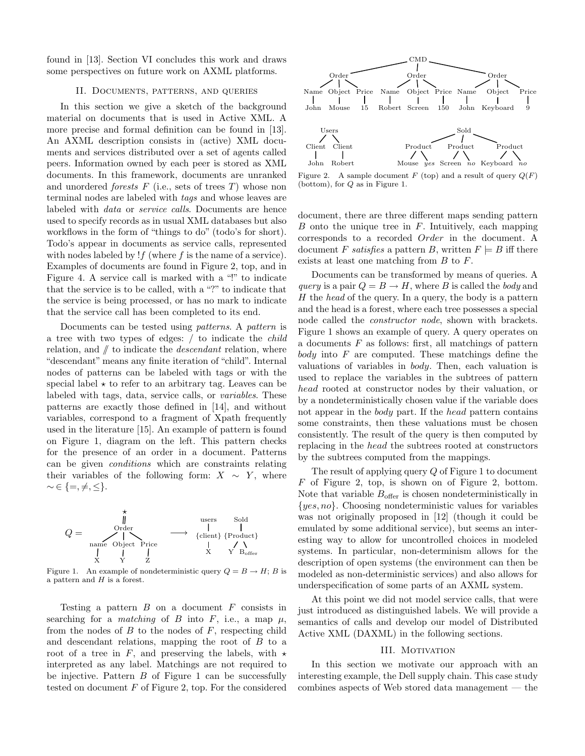found in [13]. Section VI concludes this work and draws some perspectives on future work on AXML platforms.

#### II. Documents, patterns, and queries

In this section we give a sketch of the background material on documents that is used in Active XML. A more precise and formal definition can be found in [13]. An AXML description consists in (active) XML documents and services distributed over a set of agents called peers. Information owned by each peer is stored as XML documents. In this framework, documents are unranked and unordered *forests*  $F$  (i.e., sets of trees  $T$ ) whose non terminal nodes are labeled with tags and whose leaves are labeled with *data* or *service calls*. Documents are hence used to specify records as in usual XML databases but also workflows in the form of "things to do" (todo's for short). Todo's appear in documents as service calls, represented with nodes labeled by  $!f$  (where f is the name of a service). Examples of documents are found in Figure 2, top, and in Figure 4. A service call is marked with a "!" to indicate that the service is to be called, with a "?" to indicate that the service is being processed, or has no mark to indicate that the service call has been completed to its end.

Documents can be tested using *patterns*. A *pattern* is a tree with two types of edges: / to indicate the child relation, and  $\#$  to indicate the *descendant* relation, where "descendant" means any finite iteration of "child". Internal nodes of patterns can be labeled with tags or with the special label  $\star$  to refer to an arbitrary tag. Leaves can be labeled with tags, data, service calls, or variables. These patterns are exactly those defined in [14], and without variables, correspond to a fragment of Xpath frequently used in the literature [15]. An example of pattern is found on Figure 1, diagram on the left. This pattern checks for the presence of an order in a document. Patterns can be given conditions which are constraints relating their variables of the following form:  $X \sim Y$ , where  $\sim \in \{ =, \neq, \leq \}.$ 



Figure 1. An example of nondeterministic query  $Q = B \rightarrow H$ ; B is a pattern and  $H$  is a forest.

Testing a pattern  $B$  on a document  $F$  consists in searching for a *matching* of B into F, i.e., a map  $\mu$ , from the nodes of  $B$  to the nodes of  $F$ , respecting child and descendant relations, mapping the root of B to a root of a tree in F, and preserving the labels, with  $\star$ interpreted as any label. Matchings are not required to be injective. Pattern  $B$  of Figure 1 can be successfully tested on document  $F$  of Figure 2, top. For the considered



Figure 2. A sample document  $F$  (top) and a result of query  $Q(F)$ (bottom), for Q as in Figure 1.

document, there are three different maps sending pattern  $B$  onto the unique tree in  $F$ . Intuitively, each mapping corresponds to a recorded Order in the document. A document F satisfies a pattern B, written  $F \models B$  iff there exists at least one matching from  $B$  to  $F$ .

Documents can be transformed by means of queries. A query is a pair  $Q = B \rightarrow H$ , where B is called the body and  $H$  the head of the query. In a query, the body is a pattern and the head is a forest, where each tree possesses a special node called the constructor node, shown with brackets. Figure 1 shows an example of query. A query operates on a documents  $F$  as follows: first, all matchings of pattern body into  $F$  are computed. These matchings define the valuations of variables in body. Then, each valuation is used to replace the variables in the subtrees of pattern head rooted at constructor nodes by their valuation, or by a nondeterministically chosen value if the variable does not appear in the *body* part. If the *head* pattern contains some constraints, then these valuations must be chosen consistently. The result of the query is then computed by replacing in the head the subtrees rooted at constructors by the subtrees computed from the mappings.

The result of applying query Q of Figure 1 to document F of Figure 2, top, is shown on of Figure 2, bottom. Note that variable  $B_{\text{offer}}$  is chosen nondeterministically in  $\{yes, no\}$ . Choosing nondeterministic values for variables was not originally proposed in [12] (though it could be emulated by some additional service), but seems an interesting way to allow for uncontrolled choices in modeled systems. In particular, non-determinism allows for the description of open systems (the environment can then be modeled as non-deterministic services) and also allows for underspecification of some parts of an AXML system.

At this point we did not model service calls, that were just introduced as distinguished labels. We will provide a semantics of calls and develop our model of Distributed Active XML (DAXML) in the following sections.

#### III. MOTIVATION

In this section we motivate our approach with an interesting example, the Dell supply chain. This case study combines aspects of Web stored data management — the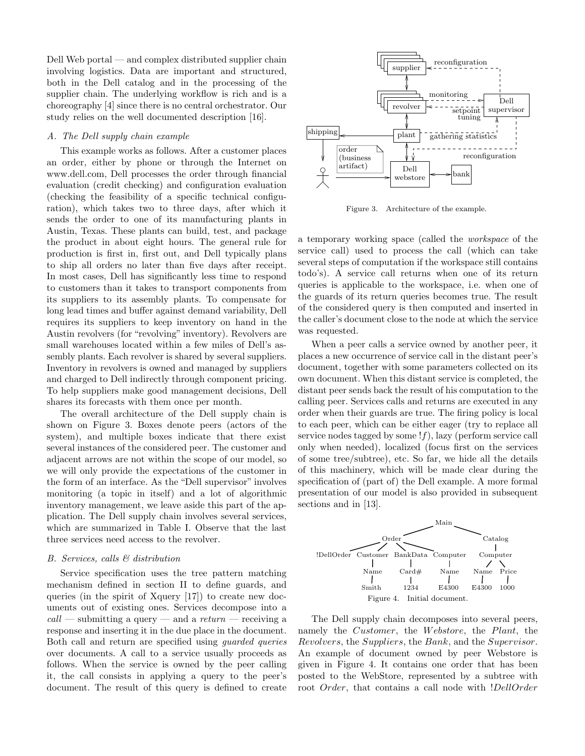Dell Web portal — and complex distributed supplier chain involving logistics. Data are important and structured, both in the Dell catalog and in the processing of the supplier chain. The underlying workflow is rich and is a choreography [4] since there is no central orchestrator. Our study relies on the well documented description [16].

#### A. The Dell supply chain example

This example works as follows. After a customer places an order, either by phone or through the Internet on www.dell.com, Dell processes the order through financial evaluation (credit checking) and configuration evaluation (checking the feasibility of a specific technical configuration), which takes two to three days, after which it sends the order to one of its manufacturing plants in Austin, Texas. These plants can build, test, and package the product in about eight hours. The general rule for production is first in, first out, and Dell typically plans to ship all orders no later than five days after receipt. In most cases, Dell has significantly less time to respond to customers than it takes to transport components from its suppliers to its assembly plants. To compensate for long lead times and buffer against demand variability, Dell requires its suppliers to keep inventory on hand in the Austin revolvers (for "revolving" inventory). Revolvers are small warehouses located within a few miles of Dell's assembly plants. Each revolver is shared by several suppliers. Inventory in revolvers is owned and managed by suppliers and charged to Dell indirectly through component pricing. To help suppliers make good management decisions, Dell shares its forecasts with them once per month.

The overall architecture of the Dell supply chain is shown on Figure 3. Boxes denote peers (actors of the system), and multiple boxes indicate that there exist several instances of the considered peer. The customer and adjacent arrows are not within the scope of our model, so we will only provide the expectations of the customer in the form of an interface. As the "Dell supervisor" involves monitoring (a topic in itself) and a lot of algorithmic inventory management, we leave aside this part of the application. The Dell supply chain involves several services, which are summarized in Table I. Observe that the last three services need access to the revolver.

#### B. Services, calls & distribution

Service specification uses the tree pattern matching mechanism defined in section II to define guards, and queries (in the spirit of Xquery [17]) to create new documents out of existing ones. Services decompose into a  $\textit{call}$  — submitting a query — and a return — receiving a response and inserting it in the due place in the document. Both call and return are specified using guarded queries over documents. A call to a service usually proceeds as follows. When the service is owned by the peer calling it, the call consists in applying a query to the peer's document. The result of this query is defined to create



Figure 3. Architecture of the example.

a temporary working space (called the workspace of the service call) used to process the call (which can take several steps of computation if the workspace still contains todo's). A service call returns when one of its return queries is applicable to the workspace, i.e. when one of the guards of its return queries becomes true. The result of the considered query is then computed and inserted in the caller's document close to the node at which the service was requested.

When a peer calls a service owned by another peer, it places a new occurrence of service call in the distant peer's document, together with some parameters collected on its own document. When this distant service is completed, the distant peer sends back the result of his computation to the calling peer. Services calls and returns are executed in any order when their guards are true. The firing policy is local to each peer, which can be either eager (try to replace all service nodes tagged by some  $\mathcal{F}(f)$ , lazy (perform service call only when needed), localized (focus first on the services of some tree/subtree), etc. So far, we hide all the details of this machinery, which will be made clear during the specification of (part of) the Dell example. A more formal presentation of our model is also provided in subsequent sections and in [13].



The Dell supply chain decomposes into several peers, namely the Customer, the Webstore, the Plant, the Revolvers, the Suppliers, the Bank, and the Supervisor. An example of document owned by peer Webstore is given in Figure 4. It contains one order that has been posted to the WebStore, represented by a subtree with root Order, that contains a call node with !DellOrder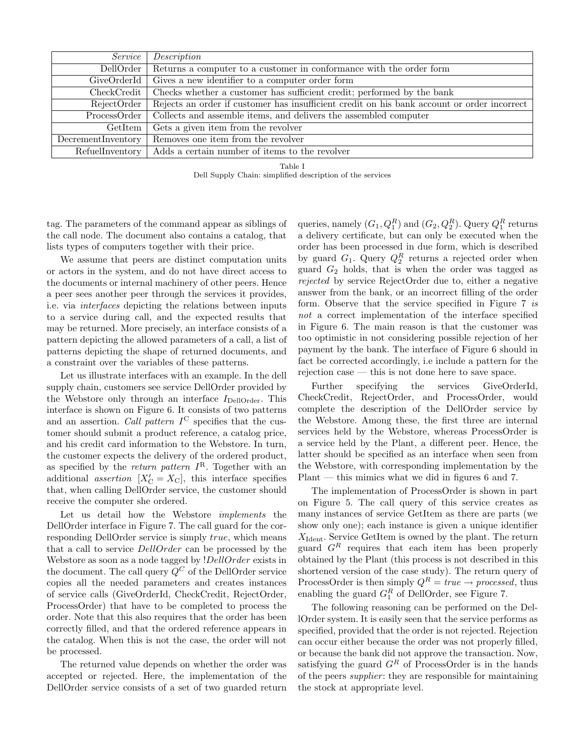| Service            | <i>Description</i>                                                                          |
|--------------------|---------------------------------------------------------------------------------------------|
| DellOrder          | Returns a computer to a customer in conformance with the order form                         |
|                    | $GiveOrderId$ Gives a new identifier to a computer order form                               |
|                    | CheckCredit   Checks whether a customer has sufficient credit; performed by the bank        |
| RejectOrder        | Rejects an order if customer has insufficient credit on his bank account or order incorrect |
| ProcessOrder       | Collects and assemble items, and delivers the assembled computer                            |
| GetItem            | Gets a given item from the revolver                                                         |
| DecrementInventory | Removes one item from the revolver                                                          |
| RefuelInventory    | Adds a certain number of items to the revolver                                              |

Table I Dell Supply Chain: simplified description of the services

tag. The parameters of the command appear as siblings of the call node. The document also contains a catalog, that lists types of computers together with their price.

We assume that peers are distinct computation units or actors in the system, and do not have direct access to the documents or internal machinery of other peers. Hence a peer sees another peer through the services it provides, i.e. via interfaces depicting the relations between inputs to a service during call, and the expected results that may be returned. More precisely, an interface consists of a pattern depicting the allowed parameters of a call, a list of patterns depicting the shape of returned documents, and a constraint over the variables of these patterns.

Let us illustrate interfaces with an example. In the dell supply chain, customers see service DellOrder provided by the Webstore only through an interface  $I_{\text{DellOrder}}$ . This interface is shown on Figure 6. It consists of two patterns and an assertion. Call pattern  $I^C$  specifies that the customer should submit a product reference, a catalog price, and his credit card information to the Webstore. In turn, the customer expects the delivery of the ordered product, as specified by the *return pattern*  $I^R$ . Together with an additional *assertion*  $[X'_{\text{C}} = X_{\text{C}}]$ , this interface specifies that, when calling DellOrder service, the customer should receive the computer she ordered.

Let us detail how the Webstore implements the DellOrder interface in Figure 7. The call guard for the corresponding DellOrder service is simply true, which means that a call to service DellOrder can be processed by the Webstore as soon as a node tagged by !DellOrder exists in the document. The call query  $\widetilde{Q}^C$  of the DellOrder service copies all the needed parameters and creates instances of service calls (GiveOrderId, CheckCredit, RejectOrder, ProcessOrder) that have to be completed to process the order. Note that this also requires that the order has been correctly filled, and that the ordered reference appears in the catalog. When this is not the case, the order will not be processed.

The returned value depends on whether the order was accepted or rejected. Here, the implementation of the DellOrder service consists of a set of two guarded return

queries, namely  $(G_1, Q_1^R)$  and  $(G_2, Q_2^R)$ . Query  $Q_1^R$  returns a delivery certificate, but can only be executed when the order has been processed in due form, which is described by guard  $G_1$ . Query  $Q_2^R$  returns a rejected order when guard  $G_2$  holds, that is when the order was tagged as rejected by service RejectOrder due to, either a negative answer from the bank, or an incorrect filling of the order form. Observe that the service specified in Figure 7 is not a correct implementation of the interface specified in Figure 6. The main reason is that the customer was too optimistic in not considering possible rejection of her payment by the bank. The interface of Figure 6 should in fact be corrected accordingly, i.e include a pattern for the rejection case — this is not done here to save space.

Further specifying the services GiveOrderId, CheckCredit, RejectOrder, and ProcessOrder, would complete the description of the DellOrder service by the Webstore. Among these, the first three are internal services held by the Webstore, whereas ProcessOrder is a service held by the Plant, a different peer. Hence, the latter should be specified as an interface when seen from the Webstore, with corresponding implementation by the Plant — this mimics what we did in figures 6 and 7.

The implementation of ProcessOrder is shown in part on Figure 5. The call query of this service creates as many instances of service GetItem as there are parts (we show only one); each instance is given a unique identifier  $X_{\text{Ident}}$ . Service GetItem is owned by the plant. The return guard  $G<sup>R</sup>$  requires that each item has been properly obtained by the Plant (this process is not described in this shortened version of the case study). The return query of ProcessOrder is then simply  $Q^R = true \rightarrow processed$ , thus enabling the guard  $G_1^R$  of DellOrder, see Figure 7.

The following reasoning can be performed on the DellOrder system. It is easily seen that the service performs as specified, provided that the order is not rejected. Rejection can occur either because the order was not properly filled, or because the bank did not approve the transaction. Now, satisfying the guard  $G<sup>R</sup>$  of ProcessOrder is in the hands of the peers supplier: they are responsible for maintaining the stock at appropriate level.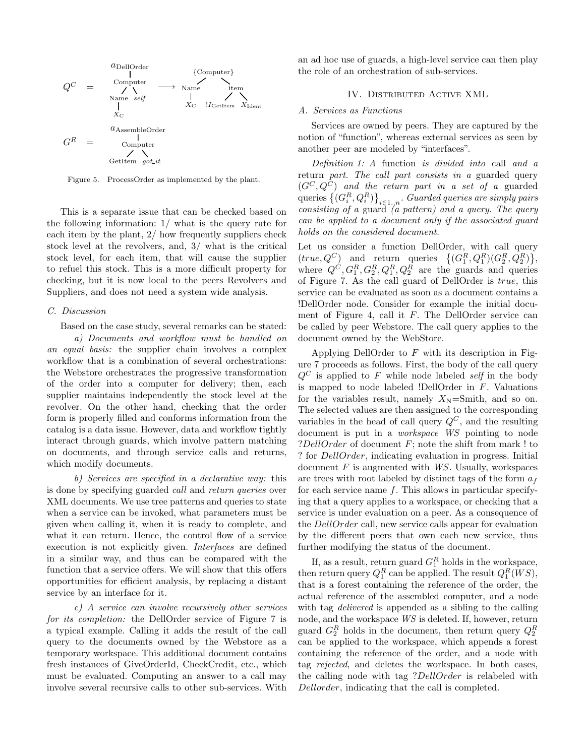

Figure 5. ProcessOrder as implemented by the plant.

This is a separate issue that can be checked based on the following information: 1/ what is the query rate for each item by the plant, 2/ how frequently suppliers check stock level at the revolvers, and, 3/ what is the critical stock level, for each item, that will cause the supplier to refuel this stock. This is a more difficult property for checking, but it is now local to the peers Revolvers and Suppliers, and does not need a system wide analysis.

#### C. Discussion

Based on the case study, several remarks can be stated:

a) Documents and workflow must be handled on an equal basis: the supplier chain involves a complex workflow that is a combination of several orchestrations: the Webstore orchestrates the progressive transformation of the order into a computer for delivery; then, each supplier maintains independently the stock level at the revolver. On the other hand, checking that the order form is properly filled and conforms information from the catalog is a data issue. However, data and workflow tightly interact through guards, which involve pattern matching on documents, and through service calls and returns, which modify documents.

b) Services are specified in a declarative way: this is done by specifying guarded call and return queries over XML documents. We use tree patterns and queries to state when a service can be invoked, what parameters must be given when calling it, when it is ready to complete, and what it can return. Hence, the control flow of a service execution is not explicitly given. *Interfaces* are defined in a similar way, and thus can be compared with the function that a service offers. We will show that this offers opportunities for efficient analysis, by replacing a distant service by an interface for it.

c) A service can involve recursively other services for its completion: the DellOrder service of Figure 7 is a typical example. Calling it adds the result of the call query to the documents owned by the Webstore as a temporary workspace. This additional document contains fresh instances of GiveOrderId, CheckCredit, etc., which must be evaluated. Computing an answer to a call may involve several recursive calls to other sub-services. With

an ad hoc use of guards, a high-level service can then play the role of an orchestration of sub-services.

#### IV. Distributed Active XML

#### A. Services as Functions

Services are owned by peers. They are captured by the notion of "function", whereas external services as seen by another peer are modeled by "interfaces".

Definition 1: A function is divided into call and a return part. The call part consists in a guarded query  $(G^C, Q^C)$  and the return part in a set of a guarded  $\left\{\left(G_i^R,Q_i^R\right)\right\}_{i\in{1..n}}.$  Guarded queries are simply pairs consisting of a guard  $\overline{a}$  pattern) and a query. The query can be applied to a document only if the associated guard holds on the considered document.

Let us consider a function DellOrder, with call query  $(true, Q^C)$  and return queries  $\{(G_1^R, Q_1^R)(G_2^R, Q_2^R)\},$ where  $Q^C, G_1^R, G_2^R, Q_1^R, Q_2^R$  are the guards and queries of Figure 7. As the call guard of DellOrder is true, this service can be evaluated as soon as a document contains a !DellOrder node. Consider for example the initial document of Figure 4, call it F. The DellOrder service can be called by peer Webstore. The call query applies to the document owned by the WebStore.

Applying DellOrder to  $F$  with its description in Figure 7 proceeds as follows. First, the body of the call query  $Q^C$  is applied to F while node labeled self in the body is mapped to node labeled !DellOrder in F. Valuations for the variables result, namely  $X_N = S$ mith, and so on. The selected values are then assigned to the corresponding variables in the head of call query  $Q^C$ , and the resulting document is put in a *workspace* WS pointing to node ?DellOrder of document  $F$ ; note the shift from mark ! to ? for DellOrder, indicating evaluation in progress. Initial document  $F$  is augmented with  $WS$ . Usually, workspaces are trees with root labeled by distinct tags of the form  $a_f$ for each service name f. This allows in particular specifying that a query applies to a workspace, or checking that a service is under evaluation on a peer. As a consequence of the DellOrder call, new service calls appear for evaluation by the different peers that own each new service, thus further modifying the status of the document.

If, as a result, return guard  $G_1^R$  holds in the workspace, then return query  $Q_1^R$  can be applied. The result  $Q_1^R(WS)$ , that is a forest containing the reference of the order, the actual reference of the assembled computer, and a node with tag *delivered* is appended as a sibling to the calling node, and the workspace WS is deleted. If, however, return guard  $G_2^R$  holds in the document, then return query  $Q_2^R$ can be applied to the workspace, which appends a forest containing the reference of the order, and a node with tag rejected, and deletes the workspace. In both cases, the calling node with tag ?DellOrder is relabeled with Dellorder, indicating that the call is completed.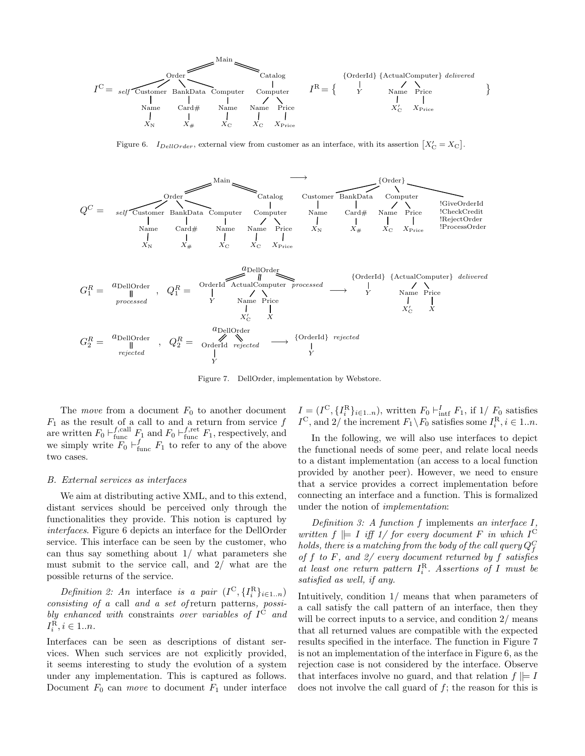

Figure 6. IDellOrder, external view from customer as an interface, with its assertion  $[X'_{\text{C}} = X_{\text{C}}]$ .



Figure 7. DellOrder, implementation by Webstore.

The *move* from a document  $F_0$  to another document  $F_1$  as the result of a call to and a return from service f are written  $F_0 \vdash_{\text{func}}^{f,\text{call}} F_1$  and  $F_0 \vdash_{\text{func}}^{f,\text{ret}} F_1$ , respectively, and we simply write  $F_0 \vdash_{\text{func}}^f F_1$  to refer to any of the above two cases.

#### B. External services as interfaces

We aim at distributing active XML, and to this extend, distant services should be perceived only through the functionalities they provide. This notion is captured by interfaces. Figure 6 depicts an interface for the DellOrder service. This interface can be seen by the customer, who can thus say something about 1/ what parameters she must submit to the service call, and 2/ what are the possible returns of the service.

Definition 2: An interface is a pair  $(I^C, \{I^R_i\}_{i \in 1..n})$ consisting of a call and a set of return patterns, possibly enhanced with constraints over variables of  $I^C$  and  $I_i^{\rm R}, i \in 1...n$ .

Interfaces can be seen as descriptions of distant services. When such services are not explicitly provided, it seems interesting to study the evolution of a system under any implementation. This is captured as follows. Document  $F_0$  can *move* to document  $F_1$  under interface  $I = (I^{\text{C}}, \{I_i^{\text{R}}\}_{i \in 1..n}),$  written  $F_0 \vdash_{\text{intf}}^I F_1$ , if  $1/F_0$  satisfies  $I^{\mathcal{C}},$  and 2/ the increment  $F_1 \backslash F_0$  satisfies some  $I_i^{\mathcal{R}}, i \in 1...n$ .

In the following, we will also use interfaces to depict the functional needs of some peer, and relate local needs to a distant implementation (an access to a local function provided by another peer). However, we need to ensure that a service provides a correct implementation before connecting an interface and a function. This is formalized under the notion of implementation:

Definition 3: A function  $f$  implements an interface  $I$ , written  $f \models I$  iff  $1/$  for every document F in which I<sup>C</sup> holds, there is a matching from the body of the call query  $Q_f^C$ of f to F, and  $2$ / every document returned by f satisfies at least one return pattern  $I_i^R$ . Assertions of I must be satisfied as well, if any.

Intuitively, condition 1/ means that when parameters of a call satisfy the call pattern of an interface, then they will be correct inputs to a service, and condition  $2/$  means that all returned values are compatible with the expected results specified in the interface. The function in Figure 7 is not an implementation of the interface in Figure 6, as the rejection case is not considered by the interface. Observe that interfaces involve no guard, and that relation  $f \models I$ does not involve the call guard of  $f$ ; the reason for this is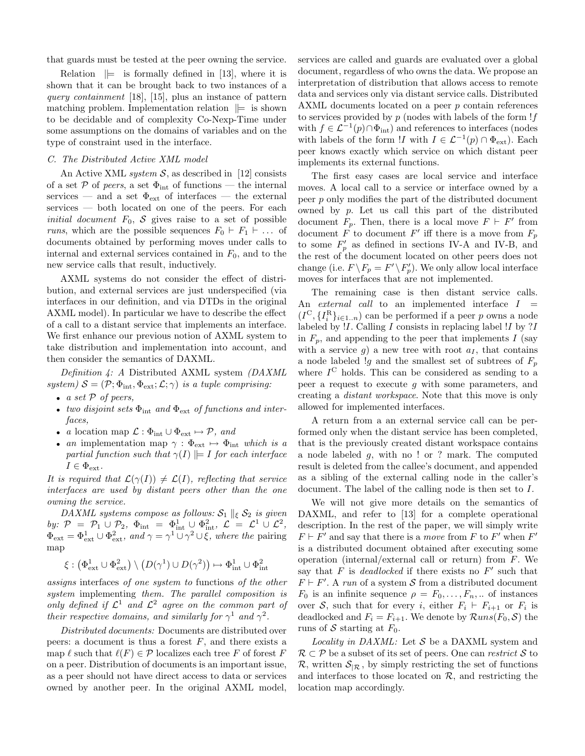that guards must be tested at the peer owning the service.

Relation  $\|\equiv$  is formally defined in [13], where it is shown that it can be brought back to two instances of a query containment [18], [15], plus an instance of pattern matching problem. Implementation relation  $|\equiv$  is shown to be decidable and of complexity Co-Nexp-Time under some assumptions on the domains of variables and on the type of constraint used in the interface.

#### C. The Distributed Active XML model

An Active XML system  $S$ , as described in [12] consists of a set  $P$  of *peers*, a set  $\Phi_{int}$  of functions — the internal services — and a set  $\Phi_{\text{ext}}$  of interfaces — the external services — both located on one of the peers. For each *initial document*  $F_0$ , S gives raise to a set of possible runs, which are the possible sequences  $F_0 \vdash F_1 \vdash \dots$  of documents obtained by performing moves under calls to internal and external services contained in  $F_0$ , and to the new service calls that result, inductively.

AXML systems do not consider the effect of distribution, and external services are just underspecified (via interfaces in our definition, and via DTDs in the original AXML model). In particular we have to describe the effect of a call to a distant service that implements an interface. We first enhance our previous notion of AXML system to take distribution and implementation into account, and then consider the semantics of DAXML.

Definition 4: A Distributed AXML system (DAXML system)  $S = (\mathcal{P}; \Phi_{int}, \Phi_{ext}; \mathcal{L}; \gamma)$  is a tuple comprising:

- $a$  set  $P$  of peers,
- two disjoint sets  $\Phi_{int}$  and  $\Phi_{ext}$  of functions and interfaces,
- a location map  $\mathcal{L} : \Phi_{int} \cup \Phi_{ext} \mapsto \mathcal{P},$  and
- an implementation map  $\gamma : \Phi_{ext} \mapsto \Phi_{int}$  which is a partial function such that  $\gamma(I) \models I$  for each interface  $I \in \Phi_{\text{ext}}$ .

It is required that  $\mathcal{L}(\gamma(I)) \neq \mathcal{L}(I)$ , reflecting that service interfaces are used by distant peers other than the one owning the service.

DAXML systems compose as follows:  $S_1 \parallel_{\xi} S_2$  is given by:  $\mathcal{P} = \mathcal{P}_1 \cup \mathcal{P}_2$ ,  $\Phi_{\text{int}} = \Phi_{\text{int}}^1 \cup \Phi_{\text{int}}^2$ ,  $\mathcal{L} = \mathcal{L}^1 \cup \mathcal{L}^2$ ,  $\Phi_{ext} = \Phi_{ext}^1 \cup \Phi_{ext}^2$ , and  $\gamma = \gamma^1 \cup \gamma^2 \cup \xi$ , where the pairing map

$$
\xi: \left(\Phi^1_{\rm ext}\cup\Phi^2_{\rm ext}\right)\setminus\left(D(\gamma^1)\cup D(\gamma^2)\right)\mapsto \Phi^1_{\rm int}\cup\Phi^2_{\rm int}
$$

assigns interfaces of one system to functions of the other system implementing them. The parallel composition is only defined if  $\mathcal{L}^1$  and  $\mathcal{L}^2$  agree on the common part of their respective domains, and similarly for  $\gamma^1$  and  $\gamma^2$ .

Distributed documents: Documents are distributed over peers: a document is thus a forest  $F$ , and there exists a map  $\ell$  such that  $\ell(F) \in \mathcal{P}$  localizes each tree F of forest F on a peer. Distribution of documents is an important issue, as a peer should not have direct access to data or services owned by another peer. In the original AXML model, services are called and guards are evaluated over a global document, regardless of who owns the data. We propose an interpretation of distribution that allows access to remote data and services only via distant service calls. Distributed AXML documents located on a peer p contain references to services provided by  $p$  (nodes with labels of the form  $!f$ with  $f \in \mathcal{L}^{-1}(p) \cap \Phi_{\text{int}}$ ) and references to interfaces (nodes with labels of the form !I with  $I \in \mathcal{L}^{-1}(p) \cap \Phi_{ext}$ . Each peer knows exactly which service on which distant peer implements its external functions.

The first easy cases are local service and interface moves. A local call to a service or interface owned by a peer p only modifies the part of the distributed document owned by  $p$ . Let us call this part of the distributed document  $F_p$ . Then, there is a local move  $F \vdash F'$  from document F to document F' iff there is a move from  $F_p$ to some  $F'_p$  as defined in sections IV-A and IV-B, and the rest of the document located on other peers does not change (i.e.  $F \backslash F_p = F' \backslash F'_p$ ). We only allow local interface moves for interfaces that are not implemented.

The remaining case is then distant service calls. An *external call* to an implemented interface  $I =$  $(I^{\mathcal{C}}, \{I_i^{\mathcal{R}}\}_{i\in{1..n}})$  can be performed if a peer p owns a node labeled by  $!I$ . Calling  $I$  consists in replacing label  $!I$  by  $?I$ in  $F_p$ , and appending to the peer that implements I (say with a service g) a new tree with root  $a_I$ , that contains a node labeled !g and the smallest set of subtrees of  $F_p$ where  $I^C$  holds. This can be considered as sending to a peer a request to execute g with some parameters, and creating a distant workspace. Note that this move is only allowed for implemented interfaces.

A return from a an external service call can be performed only when the distant service has been completed, that is the previously created distant workspace contains a node labeled g, with no ! or ? mark. The computed result is deleted from the callee's document, and appended as a sibling of the external calling node in the caller's document. The label of the calling node is then set to I.

We will not give more details on the semantics of DAXML, and refer to [13] for a complete operational description. In the rest of the paper, we will simply write  $F \vdash F'$  and say that there is a *move* from F to F' when F' is a distributed document obtained after executing some operation (internal/external call or return) from F. We say that  $F$  is *deadlocked* if there exists no  $F'$  such that  $F \vdash F'$ . A run of a system S from a distributed document  $F_0$  is an infinite sequence  $\rho = F_0, \ldots, F_n, \ldots$  of instances over S, such that for every *i*, either  $F_i \vdash F_{i+1}$  or  $F_i$  is deadlocked and  $F_i = F_{i+1}$ . We denote by  $\mathcal{R}uns(F_0, \mathcal{S})$  the runs of S starting at  $F_0$ .

*Locality in DAXML:* Let  $S$  be a DAXML system and  $\mathcal{R} \subset \mathcal{P}$  be a subset of its set of peers. One can restrict S to  $\mathcal{R}$ , written  $\mathcal{S}_{|\mathcal{R}}$ , by simply restricting the set of functions and interfaces to those located on  $R$ , and restricting the location map accordingly.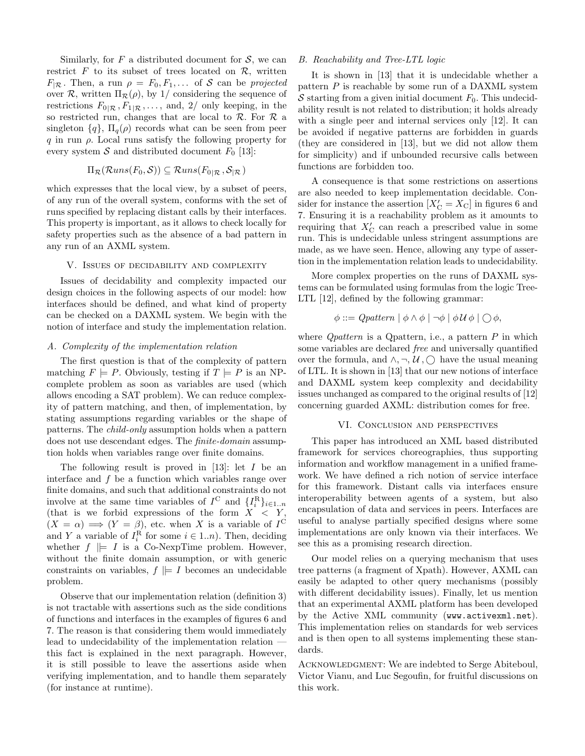Similarly, for F a distributed document for  $S$ , we can restrict  $F$  to its subset of trees located on  $\mathcal{R}$ , written  $F_{\mathcal{R}}$ . Then, a run  $\rho = F_0, F_1, \ldots$  of S can be projected over  $\mathcal{R}$ , written  $\Pi_{\mathcal{R}}(\rho)$ , by 1/ considering the sequence of restrictions  $F_{0|\mathcal{R}}, F_{1|\mathcal{R}}, \ldots$ , and, 2/ only keeping, in the so restricted run, changes that are local to  $\mathcal{R}$ . For  $\mathcal{R}$  a singleton  $\{q\}$ ,  $\Pi_q(\rho)$  records what can be seen from peer q in run  $\rho$ . Local runs satisfy the following property for every system S and distributed document  $F_0$  [13]:

$$
\Pi_{\mathcal{R}}(\mathcal{R}uns(F_0, \mathcal{S})) \subseteq \mathcal{R}uns(F_0_{|\mathcal{R}}, \mathcal{S}_{|\mathcal{R}})
$$

which expresses that the local view, by a subset of peers, of any run of the overall system, conforms with the set of runs specified by replacing distant calls by their interfaces. This property is important, as it allows to check locally for safety properties such as the absence of a bad pattern in any run of an AXML system.

#### V. Issues of decidability and complexity

Issues of decidability and complexity impacted our design choices in the following aspects of our model: how interfaces should be defined, and what kind of property can be checked on a DAXML system. We begin with the notion of interface and study the implementation relation.

#### A. Complexity of the implementation relation

The first question is that of the complexity of pattern matching  $F \models P$ . Obviously, testing if  $T \models P$  is an NPcomplete problem as soon as variables are used (which allows encoding a SAT problem). We can reduce complexity of pattern matching, and then, of implementation, by stating assumptions regarding variables or the shape of patterns. The child-only assumption holds when a pattern does not use descendant edges. The finite-domain assumption holds when variables range over finite domains.

The following result is proved in  $[13]$ : let  $I$  be an interface and f be a function which variables range over finite domains, and such that additional constraints do not involve at the same time variables of  $I^{\mathcal{C}}$  and  $\{I^{\mathcal{R}}_i\}_{i\in\{1..n\}}$ (that is we forbid expressions of the form  $X < Y$ ,  $(X = \alpha) \Longrightarrow (Y = \beta)$ , etc. when X is a variable of  $I^C$ and Y a variable of  $I_i^{\text{R}}$  for some  $i \in 1..n$ ). Then, deciding whether  $f \models I$  is a Co-NexpTime problem. However, without the finite domain assumption, or with generic constraints on variables,  $f \models I$  becomes an undecidable problem.

Observe that our implementation relation (definition 3) is not tractable with assertions such as the side conditions of functions and interfaces in the examples of figures 6 and 7. The reason is that considering them would immediately lead to undecidability of the implementation relation this fact is explained in the next paragraph. However, it is still possible to leave the assertions aside when verifying implementation, and to handle them separately (for instance at runtime).

#### B. Reachability and Tree-LTL logic

It is shown in [13] that it is undecidable whether a pattern  $P$  is reachable by some run of a DAXML system S starting from a given initial document  $F_0$ . This undecidability result is not related to distribution; it holds already with a single peer and internal services only [12]. It can be avoided if negative patterns are forbidden in guards (they are considered in [13], but we did not allow them for simplicity) and if unbounded recursive calls between functions are forbidden too.

A consequence is that some restrictions on assertions are also needed to keep implementation decidable. Consider for instance the assertion  $[X'_{\text{C}} = X_{\text{C}}]$  in figures 6 and 7. Ensuring it is a reachability problem as it amounts to requiring that  $X'_{\mathcal{C}}$  can reach a prescribed value in some run. This is undecidable unless stringent assumptions are made, as we have seen. Hence, allowing any type of assertion in the implementation relation leads to undecidability.

More complex properties on the runs of DAXML systems can be formulated using formulas from the logic Tree-LTL [12], defined by the following grammar:

$$
\phi ::= \mathit{Qpattern} \mid \phi \land \phi \mid \neg \phi \mid \phi \mathcal{U} \phi \mid \bigcirc \phi,
$$

where  $Quatern$  is a Qpattern, i.e., a pattern  $P$  in which some variables are declared free and universally quantified over the formula, and  $\wedge$ ,  $\neg$ ,  $\mathcal{U}$ ,  $\bigcirc$  have the usual meaning of LTL. It is shown in [13] that our new notions of interface and DAXML system keep complexity and decidability issues unchanged as compared to the original results of [12] concerning guarded AXML: distribution comes for free.

#### VI. Conclusion and perspectives

This paper has introduced an XML based distributed framework for services choreographies, thus supporting information and workflow management in a unified framework. We have defined a rich notion of service interface for this framework. Distant calls via interfaces ensure interoperability between agents of a system, but also encapsulation of data and services in peers. Interfaces are useful to analyse partially specified designs where some implementations are only known via their interfaces. We see this as a promising research direction.

Our model relies on a querying mechanism that uses tree patterns (a fragment of Xpath). However, AXML can easily be adapted to other query mechanisms (possibly with different decidability issues). Finally, let us mention that an experimental AXML platform has been developed by the Active XML community (www.activexml.net). This implementation relies on standards for web services and is then open to all systems implementing these standards.

ACKNOWLEDGMENT: We are indebted to Serge Abiteboul, Victor Vianu, and Luc Segoufin, for fruitful discussions on this work.